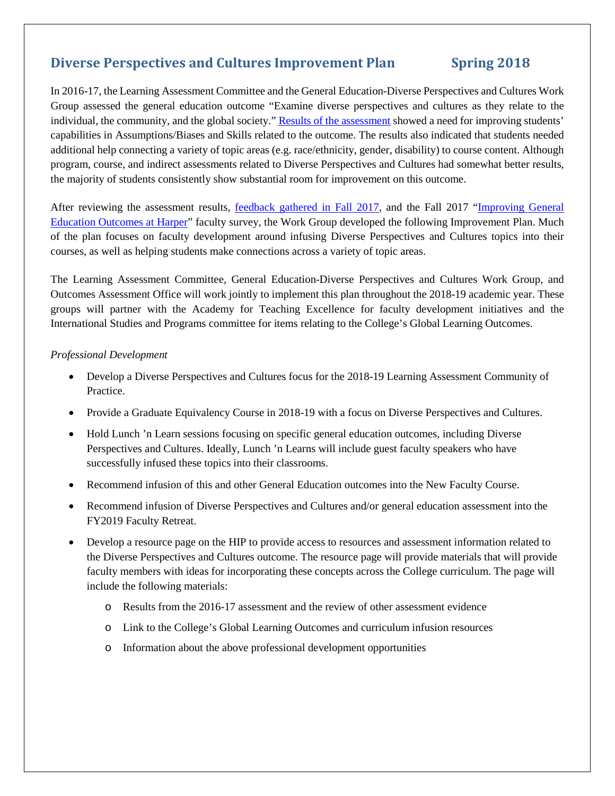# **Diverse Perspectives and Cultures Improvement Plan Spring 2018**

Last revision: Faon Grandinetti April 2018

In 2016-17, the Learning Assessment Committee and the General Education-Diverse Perspectives and Cultures Work Group assessed the general education outcome "Examine diverse perspectives and cultures as they relate to the individual, the community, and the global society." [Results of the assessment](https://hip.harpercollege.edu/ourstudents/assessingourstudents/Documents/2016-17%20General%20Education%20Diverse%20Perspectives%20and%20Cultures%20Assessment%20Results.pdf) showed a need for improving students' capabilities in Assumptions/Biases and Skills related to the outcome. The results also indicated that students needed additional help connecting a variety of topic areas (e.g. race/ethnicity, gender, disability) to course content. Although program, course, and indirect assessments related to Diverse Perspectives and Cultures had somewhat better results, the majority of students consistently show substantial room for improvement on this outcome.

After reviewing the assessment results, [feedback gathered in Fall 2017,](https://hip.harpercollege.edu/ourstudents/assessingourstudents/Documents/2016-17%20General%20Education%20Diverse%20Perspectives%20and%20Cultures%20Results%20Feedback%20August%202017.pdf) and the Fall 2017 ["Improving General](https://hip.harpercollege.edu/ourstudents/assessingourstudents/Pages/Diverse-Perspectives-and-Cultures.aspx)  [Education Outcomes at Harper"](https://hip.harpercollege.edu/ourstudents/assessingourstudents/Pages/Diverse-Perspectives-and-Cultures.aspx) faculty survey, the Work Group developed the following Improvement Plan. Much of the plan focuses on faculty development around infusing Diverse Perspectives and Cultures topics into their courses, as well as helping students make connections across a variety of topic areas.

The Learning Assessment Committee, General Education-Diverse Perspectives and Cultures Work Group, and Outcomes Assessment Office will work jointly to implement this plan throughout the 2018-19 academic year. These groups will partner with the Academy for Teaching Excellence for faculty development initiatives and the International Studies and Programs committee for items relating to the College's Global Learning Outcomes.

### *Professional Development*

- Develop a Diverse Perspectives and Cultures focus for the 2018-19 Learning Assessment Community of Practice.
- Provide a Graduate Equivalency Course in 2018-19 with a focus on Diverse Perspectives and Cultures.
- Hold Lunch 'n Learn sessions focusing on specific general education outcomes, including Diverse Perspectives and Cultures. Ideally, Lunch 'n Learns will include guest faculty speakers who have successfully infused these topics into their classrooms.
- Recommend infusion of this and other General Education outcomes into the New Faculty Course.
- Recommend infusion of Diverse Perspectives and Cultures and/or general education assessment into the FY2019 Faculty Retreat.
- Develop a resource page on the HIP to provide access to resources and assessment information related to the Diverse Perspectives and Cultures outcome. The resource page will provide materials that will provide faculty members with ideas for incorporating these concepts across the College curriculum. The page will include the following materials:
	- o Results from the 2016-17 assessment and the review of other assessment evidence
	- o Link to the College's Global Learning Outcomes and curriculum infusion resources
	- o Information about the above professional development opportunities